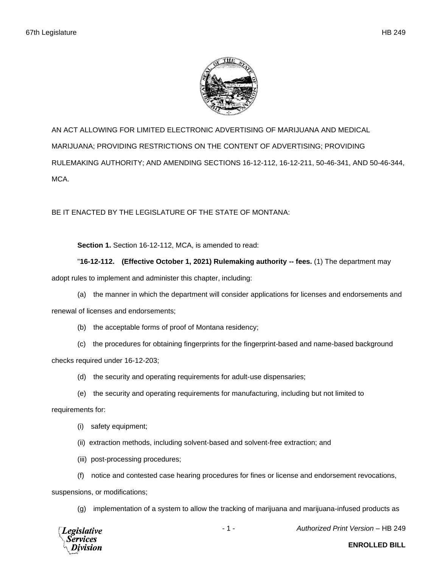

AN ACT ALLOWING FOR LIMITED ELECTRONIC ADVERTISING OF MARIJUANA AND MEDICAL MARIJUANA; PROVIDING RESTRICTIONS ON THE CONTENT OF ADVERTISING; PROVIDING RULEMAKING AUTHORITY; AND AMENDING SECTIONS 16-12-112, 16-12-211, 50-46-341, AND 50-46-344, MCA.

BE IT ENACTED BY THE LEGISLATURE OF THE STATE OF MONTANA:

**Section 1.** Section 16-12-112, MCA, is amended to read:

## "**16-12-112. (Effective October 1, 2021) Rulemaking authority -- fees.** (1) The department may

adopt rules to implement and administer this chapter, including:

(a) the manner in which the department will consider applications for licenses and endorsements and

renewal of licenses and endorsements;

- (b) the acceptable forms of proof of Montana residency;
- (c) the procedures for obtaining fingerprints for the fingerprint-based and name-based background

checks required under 16-12-203;

- (d) the security and operating requirements for adult-use dispensaries;
- (e) the security and operating requirements for manufacturing, including but not limited to

requirements for:

- (i) safety equipment;
- (ii) extraction methods, including solvent-based and solvent-free extraction; and
- (iii) post-processing procedures;
- (f) notice and contested case hearing procedures for fines or license and endorsement revocations,

suspensions, or modifications;

(g) implementation of a system to allow the tracking of marijuana and marijuana-infused products as



- 1 - *Authorized Print Version* – HB 249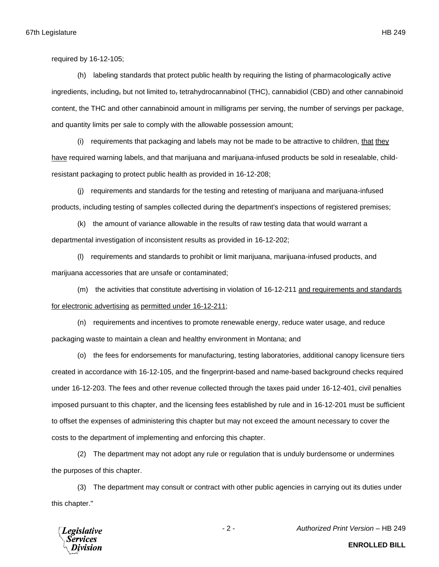required by 16-12-105;

(h) labeling standards that protect public health by requiring the listing of pharmacologically active ingredients, including, but not limited to, tetrahydrocannabinol (THC), cannabidiol (CBD) and other cannabinoid content, the THC and other cannabinoid amount in milligrams per serving, the number of servings per package, and quantity limits per sale to comply with the allowable possession amount;

(i) requirements that packaging and labels may not be made to be attractive to children, that they have required warning labels, and that marijuana and marijuana-infused products be sold in resealable, childresistant packaging to protect public health as provided in 16-12-208;

(j) requirements and standards for the testing and retesting of marijuana and marijuana-infused products, including testing of samples collected during the department's inspections of registered premises;

(k) the amount of variance allowable in the results of raw testing data that would warrant a departmental investigation of inconsistent results as provided in 16-12-202;

(l) requirements and standards to prohibit or limit marijuana, marijuana-infused products, and marijuana accessories that are unsafe or contaminated;

(m) the activities that constitute advertising in violation of 16-12-211 and requirements and standards for electronic advertising as permitted under 16-12-211;

(n) requirements and incentives to promote renewable energy, reduce water usage, and reduce packaging waste to maintain a clean and healthy environment in Montana; and

(o) the fees for endorsements for manufacturing, testing laboratories, additional canopy licensure tiers created in accordance with 16-12-105, and the fingerprint-based and name-based background checks required under 16-12-203. The fees and other revenue collected through the taxes paid under 16-12-401, civil penalties imposed pursuant to this chapter, and the licensing fees established by rule and in 16-12-201 must be sufficient to offset the expenses of administering this chapter but may not exceed the amount necessary to cover the costs to the department of implementing and enforcing this chapter.

(2) The department may not adopt any rule or regulation that is unduly burdensome or undermines the purposes of this chapter.

(3) The department may consult or contract with other public agencies in carrying out its duties under this chapter."



- 2 - *Authorized Print Version* – HB 249

**ENROLLED BILL**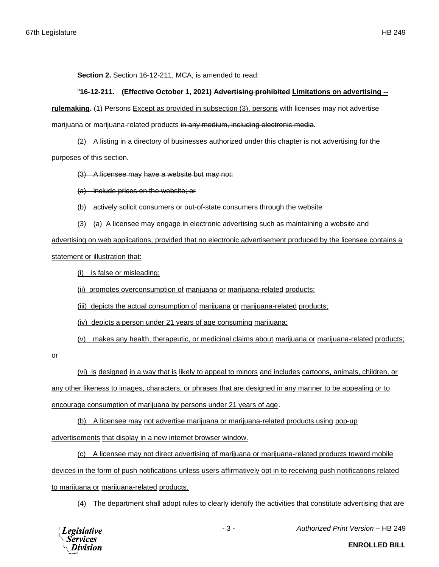**Section 2.** Section 16-12-211, MCA, is amended to read:

## "**16-12-211. (Effective October 1, 2021) Advertising prohibited Limitations on advertising --**

**rulemaking.** (1) Persons Except as provided in subsection (3), persons with licenses may not advertise marijuana or marijuana-related products in any medium, including electronic media.

(2) A listing in a directory of businesses authorized under this chapter is not advertising for the purposes of this section.

(3) A licensee may have a website but may not:

(a) include prices on the website; or

(b) actively solicit consumers or out-of-state consumers through the website

(3) (a) A licensee may engage in electronic advertising such as maintaining a website and

advertising on web applications, provided that no electronic advertisement produced by the licensee contains a statement or illustration that:

(i) is false or misleading;

(ii) promotes overconsumption of marijuana or marijuana-related products;

(iii) depicts the actual consumption of marijuana or marijuana-related products;

(iv) depicts a person under 21 years of age consuming marijuana;

(v) makes any health, therapeutic, or medicinal claims about marijuana or marijuana-related products;

or

(vi) is designed in a way that is likely to appeal to minors and includes cartoons, animals, children, or any other likeness to images, characters, or phrases that are designed in any manner to be appealing or to encourage consumption of marijuana by persons under 21 years of age.

(b) A licensee may not advertise marijuana or marijuana-related products using pop-up

advertisements that display in a new internet browser window.

(c) A licensee may not direct advertising of marijuana or marijuana-related products toward mobile devices in the form of push notifications unless users affirmatively opt in to receiving push notifications related to marijuana or marijuana-related products.

(4) The department shall adopt rules to clearly identify the activities that constitute advertising that are

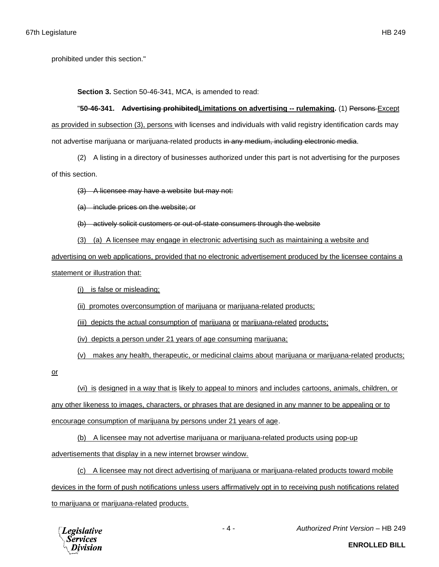**Section 3.** Section 50-46-341, MCA, is amended to read:

"**50-46-341. Advertising prohibitedLimitations on advertising -- rulemaking.** (1) Persons Except as provided in subsection (3), persons with licenses and individuals with valid registry identification cards may not advertise marijuana or marijuana-related products in any medium, including electronic media.

(2) A listing in a directory of businesses authorized under this part is not advertising for the purposes of this section.

(3) A licensee may have a website but may not:

(a) include prices on the website; or

(b) actively solicit customers or out-of-state consumers through the website

(3) (a) A licensee may engage in electronic advertising such as maintaining a website and

advertising on web applications, provided that no electronic advertisement produced by the licensee contains a

statement or illustration that:

(i) is false or misleading;

(ii) promotes overconsumption of marijuana or marijuana-related products;

(iii) depicts the actual consumption of marijuana or marijuana-related products;

(iv) depicts a person under 21 years of age consuming marijuana;

(v) makes any health, therapeutic, or medicinal claims about marijuana or marijuana-related products;

or

(vi) is designed in a way that is likely to appeal to minors and includes cartoons, animals, children, or any other likeness to images, characters, or phrases that are designed in any manner to be appealing or to encourage consumption of marijuana by persons under 21 years of age.

(b) A licensee may not advertise marijuana or marijuana-related products using pop-up

advertisements that display in a new internet browser window.

(c) A licensee may not direct advertising of marijuana or marijuana-related products toward mobile devices in the form of push notifications unless users affirmatively opt in to receiving push notifications related to marijuana or marijuana-related products.



- 4 - *Authorized Print Version* – HB 249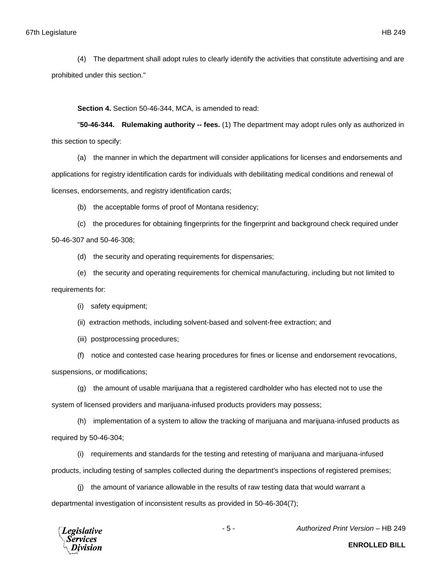(4) The department shall adopt rules to clearly identify the activities that constitute advertising and are prohibited under this section."

**Section 4.** Section 50-46-344, MCA, is amended to read:

"**50-46-344. Rulemaking authority -- fees.** (1) The department may adopt rules only as authorized in this section to specify:

(a) the manner in which the department will consider applications for licenses and endorsements and

applications for registry identification cards for individuals with debilitating medical conditions and renewal of

licenses, endorsements, and registry identification cards;

(b) the acceptable forms of proof of Montana residency;

(c) the procedures for obtaining fingerprints for the fingerprint and background check required under

50-46-307 and 50-46-308;

(d) the security and operating requirements for dispensaries;

(e) the security and operating requirements for chemical manufacturing, including but not limited to requirements for:

(i) safety equipment;

(ii) extraction methods, including solvent-based and solvent-free extraction; and

(iii) postprocessing procedures;

(f) notice and contested case hearing procedures for fines or license and endorsement revocations,

suspensions, or modifications;

(g) the amount of usable marijuana that a registered cardholder who has elected not to use the system of licensed providers and marijuana-infused products providers may possess;

(h) implementation of a system to allow the tracking of marijuana and marijuana-infused products as required by 50-46-304;

(i) requirements and standards for the testing and retesting of marijuana and marijuana-infused products, including testing of samples collected during the department's inspections of registered premises;

(j) the amount of variance allowable in the results of raw testing data that would warrant a departmental investigation of inconsistent results as provided in 50-46-304(7);

**Legislative** *Services* 

- 5 - *Authorized Print Version* – HB 249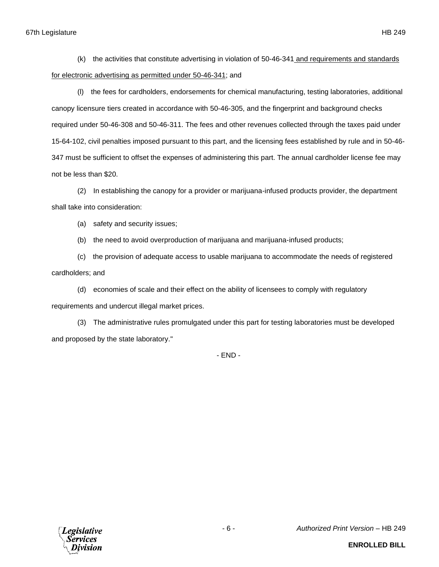(k) the activities that constitute advertising in violation of 50-46-341 and requirements and standards for electronic advertising as permitted under 50-46-341; and

(l) the fees for cardholders, endorsements for chemical manufacturing, testing laboratories, additional canopy licensure tiers created in accordance with 50-46-305, and the fingerprint and background checks required under 50-46-308 and 50-46-311. The fees and other revenues collected through the taxes paid under 15-64-102, civil penalties imposed pursuant to this part, and the licensing fees established by rule and in 50-46- 347 must be sufficient to offset the expenses of administering this part. The annual cardholder license fee may not be less than \$20.

(2) In establishing the canopy for a provider or marijuana-infused products provider, the department shall take into consideration:

(a) safety and security issues;

(b) the need to avoid overproduction of marijuana and marijuana-infused products;

(c) the provision of adequate access to usable marijuana to accommodate the needs of registered cardholders; and

(d) economies of scale and their effect on the ability of licensees to comply with regulatory requirements and undercut illegal market prices.

(3) The administrative rules promulgated under this part for testing laboratories must be developed and proposed by the state laboratory."

- END -

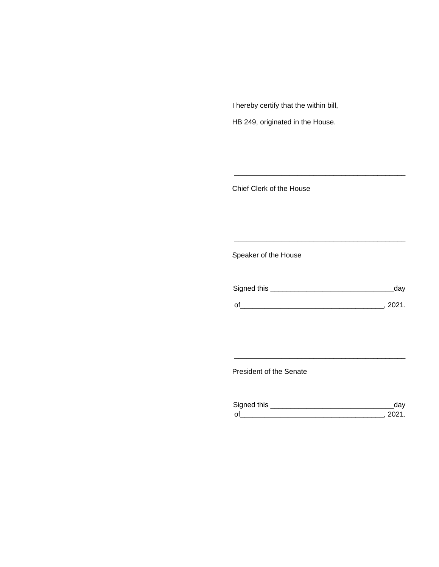I hereby certify that the within bill,

HB 249, originated in the House.

Chief Clerk of the House

Speaker of the House

| Signed this | dav  |
|-------------|------|
| $\Omega$    | 2021 |

\_\_\_\_\_\_\_\_\_\_\_\_\_\_\_\_\_\_\_\_\_\_\_\_\_\_\_\_\_\_\_\_\_\_\_\_\_\_\_\_\_\_\_

\_\_\_\_\_\_\_\_\_\_\_\_\_\_\_\_\_\_\_\_\_\_\_\_\_\_\_\_\_\_\_\_\_\_\_\_\_\_\_\_\_\_\_

President of the Senate

| Sianed this |  |
|-------------|--|
| $\Omega$    |  |

\_\_\_\_\_\_\_\_\_\_\_\_\_\_\_\_\_\_\_\_\_\_\_\_\_\_\_\_\_\_\_\_\_\_\_\_\_\_\_\_\_\_\_